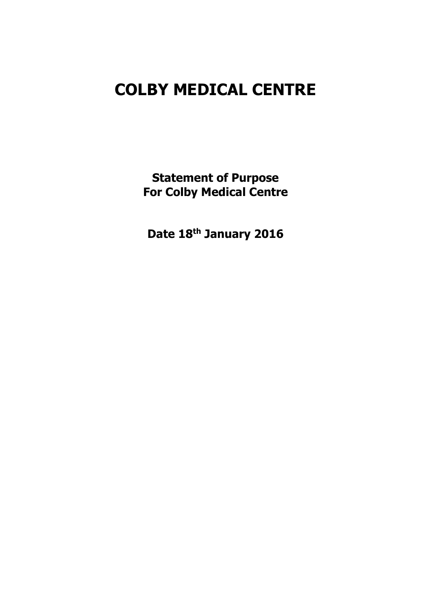# COLBY MEDICAL CENTRE

Statement of Purpose For Colby Medical Centre

Date 18th January 2016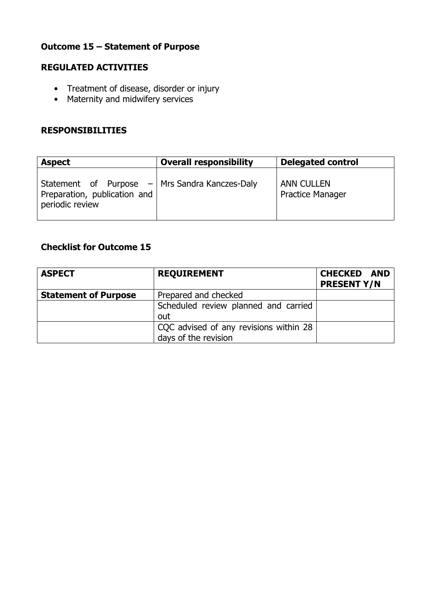# Outcome 15 – Statement of Purpose

## REGULATED ACTIVITIES

- Treatment of disease, disorder or injury
- Maternity and midwifery services

## RESPONSIBILITIES

| <b>Aspect</b>                                                                                       | <b>Overall responsibility</b> | <b>Delegated control</b>                     |
|-----------------------------------------------------------------------------------------------------|-------------------------------|----------------------------------------------|
| Statement of Purpose $-$ Mrs Sandra Kanczes-Daly<br>Preparation, publication and<br>periodic review |                               | <b>ANN CULLEN</b><br><b>Practice Manager</b> |

# Checklist for Outcome 15

| <b>ASPECT</b>               | <b>REQUIREMENT</b>                     | <b>CHECKED AND</b><br><b>PRESENT Y/N</b> |
|-----------------------------|----------------------------------------|------------------------------------------|
| <b>Statement of Purpose</b> | Prepared and checked                   |                                          |
|                             | Scheduled review planned and carried   |                                          |
|                             | out                                    |                                          |
|                             | CQC advised of any revisions within 28 |                                          |
|                             | days of the revision                   |                                          |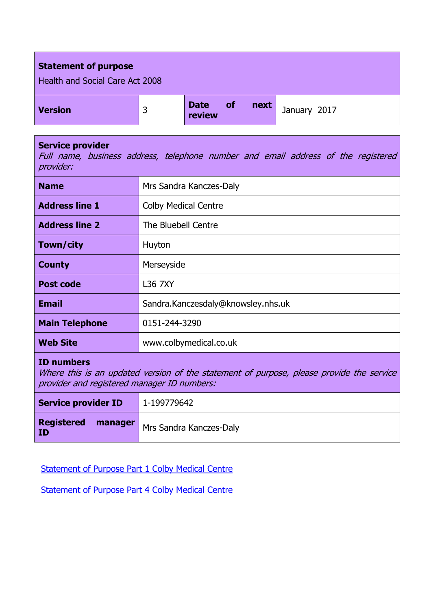| <b>Statement of purpose</b><br>Health and Social Care Act 2008 |   |                       |           |      |              |
|----------------------------------------------------------------|---|-----------------------|-----------|------|--------------|
| <b>Version</b>                                                 | 3 | <b>Date</b><br>review | <b>of</b> | next | January 2017 |

### Service provider

Full name, business address, telephone number and email address of the registered provider:

| <b>Name</b>           | Mrs Sandra Kanczes-Daly            |  |
|-----------------------|------------------------------------|--|
| <b>Address line 1</b> | <b>Colby Medical Centre</b>        |  |
| <b>Address line 2</b> | The Bluebell Centre                |  |
| Town/city             | Huyton                             |  |
| <b>County</b>         | Merseyside                         |  |
| <b>Post code</b>      | L36 7XY                            |  |
| <b>Email</b>          | Sandra.Kanczesdaly@knowsley.nhs.uk |  |
| <b>Main Telephone</b> | 0151-244-3290                      |  |
| <b>Web Site</b>       | www.colbymedical.co.uk             |  |

## ID numbers

Where this is an updated version of the statement of purpose, please provide the service provider and registered manager ID numbers:

| <b>Service provider ID</b> | 1-199779642                              |  |
|----------------------------|------------------------------------------|--|
| <b>Registered</b><br>ID    | <b>manager</b>   Mrs Sandra Kanczes-Daly |  |

Statement of Purpose Part 1 Colby Medical Centre

Statement of Purpose Part 4 Colby Medical Centre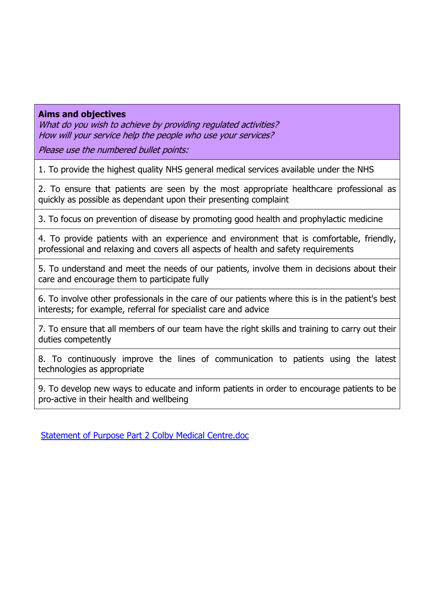## Aims and objectives

What do you wish to achieve by providing regulated activities? How will your service help the people who use your services?

Please use the numbered bullet points:

1. To provide the highest quality NHS general medical services available under the NHS

2. To ensure that patients are seen by the most appropriate healthcare professional as quickly as possible as dependant upon their presenting complaint

3. To focus on prevention of disease by promoting good health and prophylactic medicine

4. To provide patients with an experience and environment that is comfortable, friendly, professional and relaxing and covers all aspects of health and safety requirements

5. To understand and meet the needs of our patients, involve them in decisions about their care and encourage them to participate fully

6. To involve other professionals in the care of our patients where this is in the patient's best interests; for example, referral for specialist care and advice

7. To ensure that all members of our team have the right skills and training to carry out their duties competently

8. To continuously improve the lines of communication to patients using the latest technologies as appropriate

9. To develop new ways to educate and inform patients in order to encourage patients to be pro-active in their health and wellbeing

Statement of Purpose Part 2 Colby Medical Centre.doc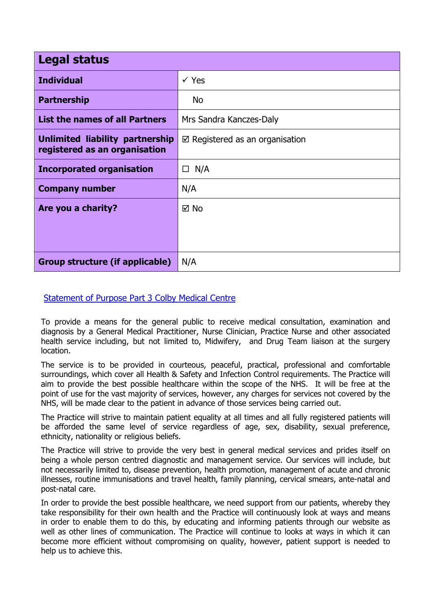| <b>Legal status</b>                                              |                                           |  |
|------------------------------------------------------------------|-------------------------------------------|--|
| <b>Individual</b>                                                | $\checkmark$ Yes                          |  |
| <b>Partnership</b>                                               | No.                                       |  |
| <b>List the names of all Partners</b>                            | Mrs Sandra Kanczes-Daly                   |  |
| Unlimited liability partnership<br>registered as an organisation | $\boxtimes$ Registered as an organisation |  |
| <b>Incorporated organisation</b>                                 | $\Box$ N/A                                |  |
| <b>Company number</b>                                            | N/A                                       |  |
| Are you a charity?                                               | ⊠ No                                      |  |
|                                                                  |                                           |  |
|                                                                  |                                           |  |
| Group structure (if applicable)                                  | N/A                                       |  |

Statement of Purpose Part 3 Colby Medical Centre

To provide a means for the general public to receive medical consultation, examination and diagnosis by a General Medical Practitioner, Nurse Clinician, Practice Nurse and other associated health service including, but not limited to, Midwifery, and Drug Team liaison at the surgery location.

The service is to be provided in courteous, peaceful, practical, professional and comfortable surroundings, which cover all Health & Safety and Infection Control requirements. The Practice will aim to provide the best possible healthcare within the scope of the NHS. It will be free at the point of use for the vast majority of services, however, any charges for services not covered by the NHS, will be made clear to the patient in advance of those services being carried out.

The Practice will strive to maintain patient equality at all times and all fully registered patients will be afforded the same level of service regardless of age, sex, disability, sexual preference, ethnicity, nationality or religious beliefs.

The Practice will strive to provide the very best in general medical services and prides itself on being a whole person centred diagnostic and management service. Our services will include, but not necessarily limited to, disease prevention, health promotion, management of acute and chronic illnesses, routine immunisations and travel health, family planning, cervical smears, ante-natal and post-natal care.

In order to provide the best possible healthcare, we need support from our patients, whereby they take responsibility for their own health and the Practice will continuously look at ways and means in order to enable them to do this, by educating and informing patients through our website as well as other lines of communication. The Practice will continue to looks at ways in which it can become more efficient without compromising on quality, however, patient support is needed to help us to achieve this.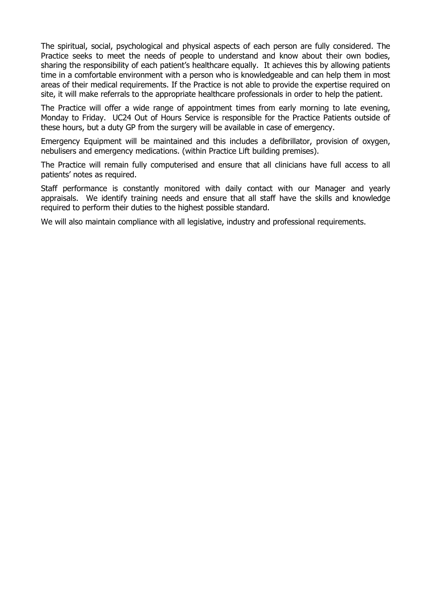The spiritual, social, psychological and physical aspects of each person are fully considered. The Practice seeks to meet the needs of people to understand and know about their own bodies, sharing the responsibility of each patient's healthcare equally. It achieves this by allowing patients time in a comfortable environment with a person who is knowledgeable and can help them in most areas of their medical requirements. If the Practice is not able to provide the expertise required on site, it will make referrals to the appropriate healthcare professionals in order to help the patient.

The Practice will offer a wide range of appointment times from early morning to late evening, Monday to Friday. UC24 Out of Hours Service is responsible for the Practice Patients outside of these hours, but a duty GP from the surgery will be available in case of emergency.

Emergency Equipment will be maintained and this includes a defibrillator, provision of oxygen, nebulisers and emergency medications. (within Practice Lift building premises).

The Practice will remain fully computerised and ensure that all clinicians have full access to all patients' notes as required.

Staff performance is constantly monitored with daily contact with our Manager and yearly appraisals. We identify training needs and ensure that all staff have the skills and knowledge required to perform their duties to the highest possible standard.

We will also maintain compliance with all legislative, industry and professional requirements.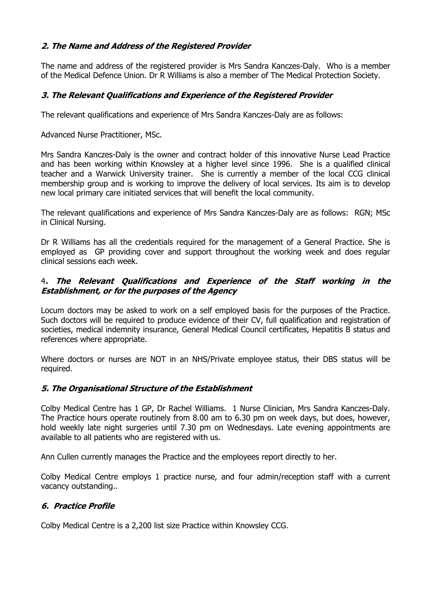### 2. The Name and Address of the Registered Provider

The name and address of the registered provider is Mrs Sandra Kanczes-Daly. Who is a member of the Medical Defence Union. Dr R Williams is also a member of The Medical Protection Society.

### 3. The Relevant Qualifications and Experience of the Registered Provider

The relevant qualifications and experience of Mrs Sandra Kanczes-Daly are as follows:

Advanced Nurse Practitioner, MSc.

Mrs Sandra Kanczes-Daly is the owner and contract holder of this innovative Nurse Lead Practice and has been working within Knowsley at a higher level since 1996. She is a qualified clinical teacher and a Warwick University trainer. She is currently a member of the local CCG clinical membership group and is working to improve the delivery of local services. Its aim is to develop new local primary care initiated services that will benefit the local community.

The relevant qualifications and experience of Mrs Sandra Kanczes-Daly are as follows: RGN; MSc in Clinical Nursing.

Dr R Williams has all the credentials required for the management of a General Practice. She is employed as GP providing cover and support throughout the working week and does regular clinical sessions each week.

#### 4. The Relevant Qualifications and Experience of the Staff working in the Establishment, or for the purposes of the Agency

Locum doctors may be asked to work on a self employed basis for the purposes of the Practice. Such doctors will be required to produce evidence of their CV, full qualification and registration of societies, medical indemnity insurance, General Medical Council certificates, Hepatitis B status and references where appropriate.

Where doctors or nurses are NOT in an NHS/Private employee status, their DBS status will be required.

#### 5. The Organisational Structure of the Establishment

Colby Medical Centre has 1 GP, Dr Rachel Williams. 1 Nurse Clinician, Mrs Sandra Kanczes-Daly. The Practice hours operate routinely from 8.00 am to 6.30 pm on week days, but does, however, hold weekly late night surgeries until 7.30 pm on Wednesdays. Late evening appointments are available to all patients who are registered with us.

Ann Cullen currently manages the Practice and the employees report directly to her.

Colby Medical Centre employs 1 practice nurse, and four admin/reception staff with a current vacancy outstanding..

#### 6. Practice Profile

Colby Medical Centre is a 2,200 list size Practice within Knowsley CCG.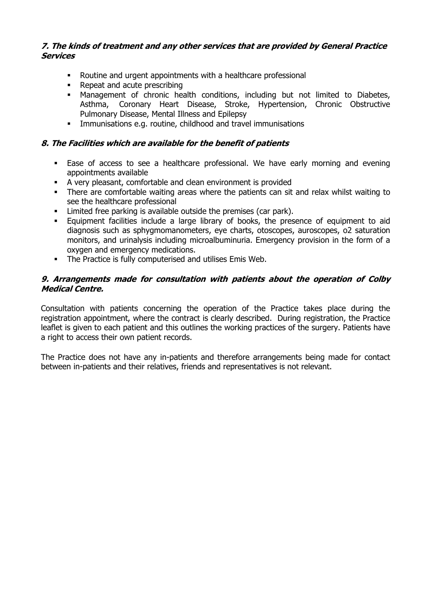#### 7. The kinds of treatment and any other services that are provided by General Practice **Services**

- Routine and urgent appointments with a healthcare professional
- Repeat and acute prescribing
- Management of chronic health conditions, including but not limited to Diabetes, Asthma, Coronary Heart Disease, Stroke, Hypertension, Chronic Obstructive Pulmonary Disease, Mental Illness and Epilepsy
- Immunisations e.g. routine, childhood and travel immunisations

#### 8. The Facilities which are available for the benefit of patients

- Ease of access to see a healthcare professional. We have early morning and evening appointments available
- A very pleasant, comfortable and clean environment is provided
- There are comfortable waiting areas where the patients can sit and relax whilst waiting to see the healthcare professional
- **EXECT** Limited free parking is available outside the premises (car park).
- Equipment facilities include a large library of books, the presence of equipment to aid diagnosis such as sphygmomanometers, eye charts, otoscopes, auroscopes, o2 saturation monitors, and urinalysis including microalbuminuria. Emergency provision in the form of a oxygen and emergency medications.
- The Practice is fully computerised and utilises Emis Web.

#### 9. Arrangements made for consultation with patients about the operation of Colby Medical Centre.

Consultation with patients concerning the operation of the Practice takes place during the registration appointment, where the contract is clearly described. During registration, the Practice leaflet is given to each patient and this outlines the working practices of the surgery. Patients have a right to access their own patient records.

The Practice does not have any in-patients and therefore arrangements being made for contact between in-patients and their relatives, friends and representatives is not relevant.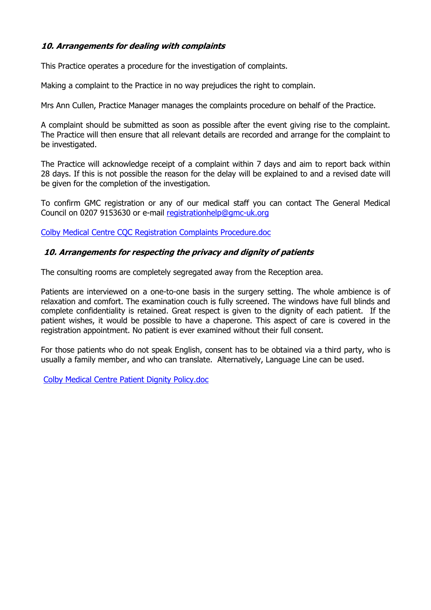### 10. Arrangements for dealing with complaints

This Practice operates a procedure for the investigation of complaints.

Making a complaint to the Practice in no way prejudices the right to complain.

Mrs Ann Cullen, Practice Manager manages the complaints procedure on behalf of the Practice.

A complaint should be submitted as soon as possible after the event giving rise to the complaint. The Practice will then ensure that all relevant details are recorded and arrange for the complaint to be investigated.

The Practice will acknowledge receipt of a complaint within 7 days and aim to report back within 28 days. If this is not possible the reason for the delay will be explained to and a revised date will be given for the completion of the investigation.

To confirm GMC registration or any of our medical staff you can contact The General Medical Council on 0207 9153630 or e-mail registrationhelp@gmc-uk.org

Colby Medical Centre CQC Registration Complaints Procedure.doc

#### 10. Arrangements for respecting the privacy and dignity of patients

The consulting rooms are completely segregated away from the Reception area.

Patients are interviewed on a one-to-one basis in the surgery setting. The whole ambience is of relaxation and comfort. The examination couch is fully screened. The windows have full blinds and complete confidentiality is retained. Great respect is given to the dignity of each patient. If the patient wishes, it would be possible to have a chaperone. This aspect of care is covered in the registration appointment. No patient is ever examined without their full consent.

For those patients who do not speak English, consent has to be obtained via a third party, who is usually a family member, and who can translate. Alternatively, Language Line can be used.

Colby Medical Centre Patient Dignity Policy.doc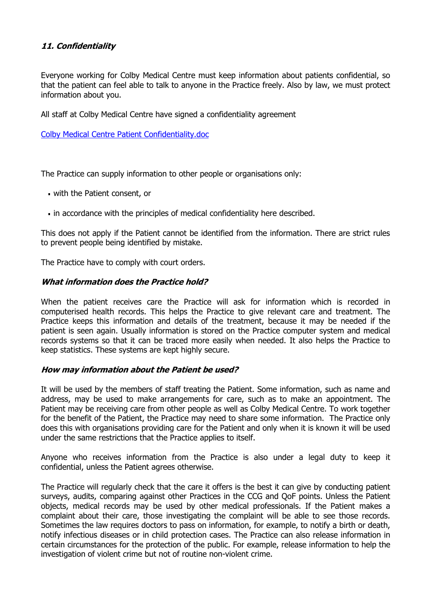### 11. Confidentiality

Everyone working for Colby Medical Centre must keep information about patients confidential, so that the patient can feel able to talk to anyone in the Practice freely. Also by law, we must protect information about you.

All staff at Colby Medical Centre have signed a confidentiality agreement

Colby Medical Centre Patient Confidentiality.doc

The Practice can supply information to other people or organisations only:

- with the Patient consent, or
- in accordance with the principles of medical confidentiality here described.

This does not apply if the Patient cannot be identified from the information. There are strict rules to prevent people being identified by mistake.

The Practice have to comply with court orders.

#### What information does the Practice hold?

When the patient receives care the Practice will ask for information which is recorded in computerised health records. This helps the Practice to give relevant care and treatment. The Practice keeps this information and details of the treatment, because it may be needed if the patient is seen again. Usually information is stored on the Practice computer system and medical records systems so that it can be traced more easily when needed. It also helps the Practice to keep statistics. These systems are kept highly secure.

#### How may information about the Patient be used?

It will be used by the members of staff treating the Patient. Some information, such as name and address, may be used to make arrangements for care, such as to make an appointment. The Patient may be receiving care from other people as well as Colby Medical Centre. To work together for the benefit of the Patient, the Practice may need to share some information. The Practice only does this with organisations providing care for the Patient and only when it is known it will be used under the same restrictions that the Practice applies to itself.

Anyone who receives information from the Practice is also under a legal duty to keep it confidential, unless the Patient agrees otherwise.

The Practice will regularly check that the care it offers is the best it can give by conducting patient surveys, audits, comparing against other Practices in the CCG and QoF points. Unless the Patient objects, medical records may be used by other medical professionals. If the Patient makes a complaint about their care, those investigating the complaint will be able to see those records. Sometimes the law requires doctors to pass on information, for example, to notify a birth or death, notify infectious diseases or in child protection cases. The Practice can also release information in certain circumstances for the protection of the public. For example, release information to help the investigation of violent crime but not of routine non-violent crime.